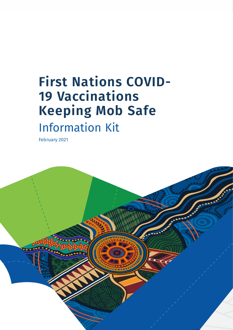# **First Nations COVID-19 Vaccinations Keeping Mob Safe** Information Kit

February 2021

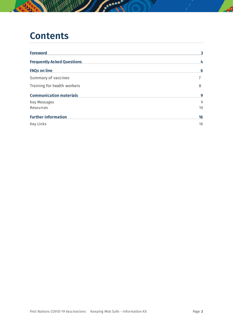### **Contents**

| <b>Foreword</b>                   | 3               |
|-----------------------------------|-----------------|
| <b>Frequently Asked Questions</b> | 4               |
| <b>FAQs on line</b>               | 6               |
| Summary of vaccines               |                 |
| Training for health workers       | 8               |
| <b>Communication materials</b>    | 9               |
| Key Messages                      | 9               |
| Resources                         | 10 <sup>°</sup> |
| <b>Further information</b>        | 16              |
| Key Links                         | 16              |

**Service**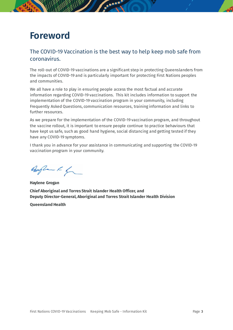### <span id="page-2-0"></span>**Foreword**

#### The COVID-19 Vaccination is the best way to help keep mob safe from coronavirus.

The roll-out of COVID-19 vaccinations are a significant step in protecting Queenslanders from the impacts of COVID-19 and is particularly important for protecting First Nations peoples and communities.

We all have a role to play in ensuring people access the most factual and accurate information regarding COVID-19 vaccinations. This kit includes information to support the implementation of the COVID-19 vaccination program in your community, including Frequently Asked Questions, communication resources, training information and links to further resources.

As we prepare for the implementation of the COVID-19 vaccination program, and throughout the vaccine rollout, it is important to ensure people continue to practice behaviours that have kept us safe, such as good hand hygiene, social distancing and getting tested if they have any COVID-19 symptoms.

I thank you in advance for your assistance in communicating and supporting the COVID-19 vaccination program in your community.

Anglan K for

**Haylene Grogan Chief Aboriginal and Torres Strait Islander Health Officer, and Deputy Director-General, Aboriginal and Torres Strait Islander Health Division**

**Queensland Health**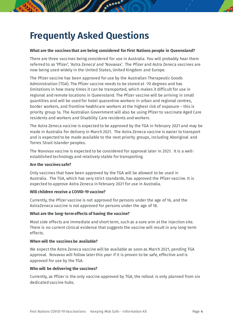## <span id="page-3-0"></span>**Frequently Asked Questions**

#### **What are the vaccines that are being considered for First Nations people in Queensland?**

There are three vaccines being considered for use in Australia. You will probably hear them referred to as 'Pfizer', 'Astra Zeneca' and 'Novavax'. The Pfizer and Astra Zeneca vaccines are now being used widely in the United States, United Kingdom and Europe.

The Pfizer vaccine has been approved for use by the Australian Therapeutic Goods Administration (TGA). The Pfizer vaccine needs to be stored at -70 degrees and has limitations in how many times it can be transported, which makes it difficult for use in regional and remote locations in Queensland. The Pfizer vaccine will be arriving in small quantities and will be used for hotel quarantine workers in urban and regional centres, border workers, and frontline healthcare workers at the highest risk of exposure – this is priority group 1a. The Australian Government will also be using Pfizer to vaccinate Aged Care residents and workers and Disability Care residents and workers.

The Astra Zeneca vaccine is expected to be approved by the TGA in February 2021 and may be made in Australia for delivery in March 2021. The Astra Zeneca vaccine is easier to transport and is expected to be made available to the next priority groups, including Aboriginal and Torres Strait Islander peoples.

The Novovax vaccine is expected to be considered for approval later in 2021. It is a wellestablished technology and relatively stable for transporting.

#### **Are the vaccines safe?**

Only vaccines that have been approved by the TGA will be allowed to be used in Australia. The TGA, which has very strict standards, has approved the Pfizer vaccine. It is expected to approve Astra Zeneca in February 2021 for use in Australia.

#### **Will children receive a COVID-19 vaccine?**

Currently, the Pfizer vaccine is not approved for persons under the age of 16, and the AstraZeneca vaccine is not approved for persons under the age of 18.

#### **What are the long-term effects of having the vaccine?**

Most side effects are immediate and short term, such as a sore arm at the injection site. There is no current clinical evidence that suggests the vaccine will result in any long-term effects.

#### **When will the vaccines be available?**

We expect the Astra Zeneca vaccine will be available as soon as March 2021, pending TGA approval. Novavax will follow later this year if it is proven to be safe, effective and is approved for use by the TGA.

#### **Who will be delivering the vaccines?**

Currently, as Pfizer is the only vaccine approved by TGA, the rollout is only planned from six dedicated vaccine hubs.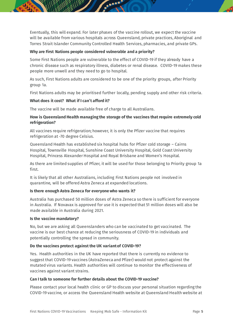Eventually, this will expand. For later phases of the vaccine rollout, we expect the vaccine will be available from various hospitals across Queensland, private practices, Aboriginal and Torres Strait Islander Community Controlled Health Services, pharmacies, and private GPs.

#### **Why are First Nations people considered vulnerable and a priority?**

Some First Nations people are vulnerable to the effect of COVID-19 if they already have a chronic disease such as respiratory illness, diabetes or renal disease. COVID-19 makes these people more unwell and they need to go to hospital.

As such, First Nations adults are considered to be one of the priority groups, after Priority group 1a.

First Nations adults may be prioritised further locally, pending supply and other risk criteria.

#### **What does it cost? What if I can't afford it?**

The vaccine will be made available free of charge to all Australians.

#### **How is Queensland Health managing the storage of the vaccines that require extremely cold refrigeration?**

All vaccines require refrigeration; however, it is only the Pfizer vaccine that requires refrigeration at -70 degree Celsius.

Queensland Health has established six hospital hubs for Pfizer cold storage – Cairns Hospital, Townsville Hospital, Sunshine Coast University Hospital, Gold Coast University Hospital, Princess Alexander Hospital and Royal Brisbane and Women's Hospital.

As there are limited supplies of Pfizer, it will be used for those belonging to Priority group 1a first.

It is likely that all other Australians, including First Nations people not involved in quarantine, will be offered Astra Zeneca at expanded locations.

#### **Is there enough Astra Zeneca for everyone who wants it?**

Australia has purchased 50 million doses of Astra Zeneca so there is sufficient for everyone in Australia. If Novavax is approved for use it is expected that 51 million doses will also be made available in Australia during 2021.

#### **Is the vaccine mandatory?**

No, but we are asking all Queenslanders who can be vaccinated to get vaccinated. The vaccine is our best chance at reducing the seriousness of COVID-19 in individuals and potentially controlling the spread in community.

#### **Do the vaccines protect against the UK variant of COVID-19?**

Yes. Health authorities in the UK have reported that there is currently no evidence to suggest that COVID-19 vaccines (AstraZeneca and Pfizer) would not protect against the mutated virus variants. Health authorities will continue to monitor the effectiveness of vaccines against variant strains.

#### **Can I talk to someone for further details about the COVID-19 vaccine?**

Please contact your local health clinic or GP to discuss your personal situation regarding the COVID-19 vaccine, or access the Queensland Health website at Queensland Health website at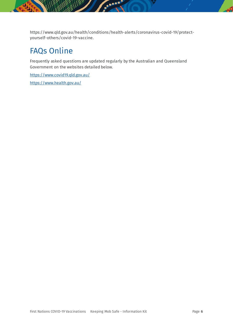https://www.qld.gov.au/health/conditions/health-alerts/coronavirus-covid-19/protectyourself-others/covid-19-vaccine.

 $\ddotsc$ 

### FAQs Online

Frequently asked questions are updated regularly by the Australian and Queensland Government on the websites detailed below.

<https://www.covid19.qld.gov.au/> <https://www.health.gov.au/>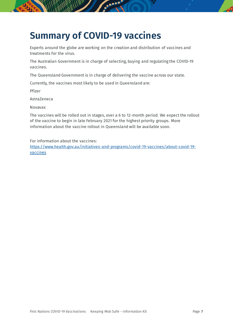## **Summary of COVID-19 vaccines**

Experts around the globe are working on the creation and distribution of vaccines and treatments for the virus.

The Australian Government is in charge of selecting, buying and regulating the COVID-19 vaccines.

The Queensland Government is in charge of delivering the vaccine across our state.

Currently, the vaccines most likely to be used in Queensland are:

Pfizer

AstraZeneca

Novavax

The vaccines will be rolled out in stages, over a 6 to 12-month period. We expect the rollout of the vaccine to begin in late February 2021 for the highest priority groups. More information about the vaccine rollout in Queensland will be available soon.

For information about the vaccines:

[https://www.health.gov.au/initiatives-and-programs/covid-19-vaccines/about-covid-19](https://www.health.gov.au/initiatives-and-programs/covid-19-vaccines/about-covid-19-vaccines) [vaccines](https://www.health.gov.au/initiatives-and-programs/covid-19-vaccines/about-covid-19-vaccines)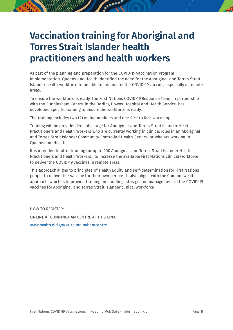## **Vaccination training for Aboriginal and Torres Strait Islander health practitioners and health workers**

As part of the planning and preparation for the COVID-19 Vaccination Program implementation, Queensland Health identified the need for the Aboriginal and Torres Strait Islander health workforce to be able to administer the COVID-19 vaccine, especially in remote areas.

To ensure the workforce is ready, the First Nations COVID-19 Response Team, in partnership with the Cunningham Centre, in the Darling Downs Hospital and Health Service, has developed specific training to ensure the workforce is ready.

The training includes two (2) online modules and one face to face workshop.

Training will be provided free of charge for Aboriginal and Torres Strait Islander Health Practitioners and Health Workers who are currently working in clinical roles in an Aboriginal and Torres Strait Islander Community Controlled Health Service, or who are working in Queensland Health.

It is intended to offer training for up to 200 Aboriginal and Torres Strait Islander Health Practitioners and Health Workers , to increase the available First Nations clinical workforce to deliver the COVID-19 vaccines in remote areas.

This approach aligns to principles of Health Equity and self-determination for First Nations people to deliver the vaccine for their own people. It also aligns with the Commonwealth approach, which is to provide training on handling, storage and management of the COVID-19 vaccines for Aboriginal and Torres Strait Islander clinical workforce.

HOW TO REGISTER: ONLINE AT CUNNINGHAM CENTRE AT THIS LINK: [www.health.qld.gov.au/cunninghamcentre](http://www.health.qld.gov.au/cunninghamcentre)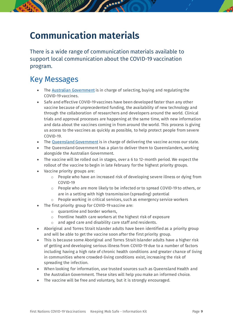## <span id="page-8-0"></span>**Communication materials**

There is a wide range of communication materials available to support local communication about the COVID-19 vaccination program.

### <span id="page-8-1"></span>Key Messages

- The [Australian Government](https://www.health.gov.au/) is in charge of selecting, buying and regulating the COVID-19 vaccines.
- Safe and effective COVID-19 vaccines have been developed faster than any other vaccine because of unprecedented funding, the availability of new technology and through the collaboration of researchers and developers around the world. Clinical trials and approval processes are happening at the same time, with new information and data about the vaccines coming in from around the world. This process is giving us access to the vaccines as quickly as possible, to help protect people from severe COVID-19.
- The [Queensland Government](https://www.qld.gov.au/health/conditions/health-alerts/coronavirus-covid-19/protect-yourself-others/covid-19-vaccine) is in charge of delivering the vaccine across our state.
- The Queensland Government has a plan to deliver them to Queenslanders, working alongside the Australian Government.
- The vaccine will be rolled out in stages, over a 6 to 12-month period. We expect the rollout of the vaccine to begin in late February for the highest priority groups.
- Vaccine priority groups are:
	- $\circ$  People who have an increased risk of developing severe illness or dying from COVID-19
	- $\circ$  People who are more likely to be infected or to spread COVID-19 to others, or are in a setting with high transmission (spreading) potential
	- o People working in critical services, such as emergency service workers
	- The first priority group for COVID-19 vaccine are:
		- $\circ$  quarantine and border workers,
		- o frontline health care workers at the highest risk of exposure
		- o and aged care and disability care staff and residents.
- Aboriginal and Torres Strait Islander adults have been identified as a priority group and will be able to get the vaccine soon after the first priority group.
- This is because some Aboriginal and Torres Strait Islander adults have a higher risk of getting and developing serious illness from COVID-19 due to a number of factors including having a high rate of chronic health conditions and greater chance of living in communities where crowded-living conditions exist, increasing the risk of spreading the infection.
- When looking for information, use trusted sources such as [Queensland Health](https://www.qld.gov.au/health/conditions/health-alerts/coronavirus-covid-19) and the [Australian Government.](https://www.health.gov.au/initiatives-and-programs/covid-19-vaccines/about-covid-19-vaccines) These sites will help you make an informed choice.
- The vaccine will be free and voluntary, but it is strongly encouraged.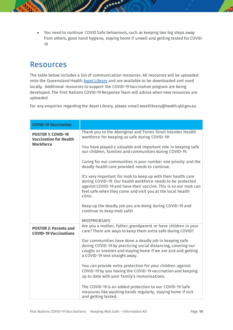• You need to continue COVID Safe behaviours, such as keeping two big steps away from others, good hand hygiene, staying home if unwell and getting tested for COVID-19

### <span id="page-9-0"></span>Resources

The table below includes a list of communication resources. All resources will be uploaded onto the Queensland Health [Asset Library](https://qheps.health.qld.gov.au/atsihb/html/covid-19-first-nations-response) and are available to be downloaded and used locally. Additional resources to support the COVID-19 Vaccination program are being developed. The First Nations COVID-19 Response Team will advise when new resources are uploaded.

For any enquiries regarding the Asset Library, please email assetlibrary@health.qld.gov.au

| <b>COVID-19 Vaccination</b>                                                    |                                                                                                                                                                                                                                                                          |
|--------------------------------------------------------------------------------|--------------------------------------------------------------------------------------------------------------------------------------------------------------------------------------------------------------------------------------------------------------------------|
| <b>POSTER 1: COVID-19</b><br><b>Vaccination for Health</b><br><b>Workforce</b> | Thank you to the Aboriginal and Torres Strait Islander Health<br>workforce for keeping us safe during COVID-19!                                                                                                                                                          |
|                                                                                | You have played a valuable and important role in keeping safe<br>our children, families and communities during COVID-19.                                                                                                                                                 |
|                                                                                | Caring for our communities is your number one priority and the<br>deadly health care provided needs to continue.                                                                                                                                                         |
|                                                                                | It's very important for mob to keep up with their health care<br>during COVID-19. Our health workforce needs to be protected<br>against COVID-19 and have their vaccine. This is so our mob can<br>feel safe when they come and visit you at the local health<br>clinic. |
|                                                                                | Keep up the deadly job you are doing during COVID-19 and<br>continue to keep mob safe!                                                                                                                                                                                   |
|                                                                                | #KEEPMOBSAFE                                                                                                                                                                                                                                                             |
| <b>POSTER 2: Parents and</b><br><b>COVID-19 Vaccinations</b>                   | Are you a mother, father, grandparent or have children in your<br>care? There are ways to keep them extra safe during COVID?                                                                                                                                             |
|                                                                                | Our communities have done a deadly job in keeping safe<br>during COVID-19 by practicing social distancing, covering our<br>coughs or sneezes and staying home if we are sick and getting<br>a COVID-19 test straight away.                                               |
|                                                                                | You can provide extra protection for your children against<br>COVID-19 by you having the COVID-19 vaccination and keeping<br>up to date with your family's immunisations.                                                                                                |
|                                                                                | The COVID-19 is an added protection to our COVID-19 Safe<br>measures like washing hands regularly, staying home if sick<br>and getting tested.                                                                                                                           |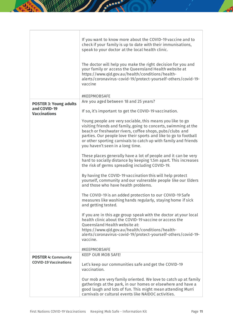|                                                                      | If you want to know more about the COVID-19 vaccine and to<br>check if your family is up to date with their immunisations,<br>speak to your doctor at the local health clinic.<br>The doctor will help you make the right decision for you and<br>your family or access the Queensland Health website at<br>https://www.qld.gov.au/health/conditions/health-<br>alerts/coronavirus-covid-19/protect-yourself-others/covid-19-<br>vaccine |
|----------------------------------------------------------------------|------------------------------------------------------------------------------------------------------------------------------------------------------------------------------------------------------------------------------------------------------------------------------------------------------------------------------------------------------------------------------------------------------------------------------------------|
|                                                                      | #KEEPMOBSAFE                                                                                                                                                                                                                                                                                                                                                                                                                             |
| <b>POSTER 3: Young adults</b><br>and COVID-19<br><b>Vaccinations</b> | Are you aged between 18 and 25 years?<br>If so, it's important to get the COVID-19 vaccination.                                                                                                                                                                                                                                                                                                                                          |
|                                                                      | Young people are very sociable, this means you like to go<br>visiting friends and family, going to concerts, swimming at the<br>beach or freshwater rivers, coffee shops, pubs/clubs and<br>parties. Our people love their sports and like to go to football<br>or other sporting carnivals to catch up with family and friends<br>you haven't seen in a long time.                                                                      |
|                                                                      | These places generally have a lot of people and it can be very<br>hard to socially distance by keeping 1.5m apart. This increases<br>the risk of germs spreading including COVID-19.                                                                                                                                                                                                                                                     |
|                                                                      | By having the COVID-19 vaccination this will help protect<br>yourself, community and our vulnerable people like our Elders<br>and those who have health problems.                                                                                                                                                                                                                                                                        |
|                                                                      | The COVID-19 is an added protection to our COVID-19 Safe<br>measures like washing hands regularly, staying home if sick<br>and getting tested.                                                                                                                                                                                                                                                                                           |
|                                                                      | If you are in this age group speak with the doctor at your local<br>health clinic about the COVID-19 vaccine or access the<br><b>Queensland Health website at:</b><br>https://www.qld.gov.au/health/conditions/health-<br>alerts/coronavirus-covid-19/protect-yourself-others/covid-19-<br>vaccine.                                                                                                                                      |
|                                                                      | #KEEPMOBSAFE                                                                                                                                                                                                                                                                                                                                                                                                                             |
| <b>POSTER 4: Community</b><br><b>COVID-19 Vaccinations</b>           | <b>KEEP OUR MOB SAFE!</b><br>Let's keep our communities safe and get the COVID-19<br>vaccination.                                                                                                                                                                                                                                                                                                                                        |
|                                                                      | Our mob are very family oriented. We love to catch up at family<br>gatherings at the park, in our homes or elsewhere and have a<br>good laugh and lots of fun. This might mean attending Murri<br>carnivals or cultural events like NAIDOC activities.                                                                                                                                                                                   |

Æ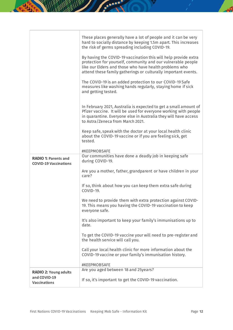|                                                                     | These places generally have a lot of people and it can be very<br>hard to socially distance by keeping 1.5m apart. This increases<br>the risk of germs spreading including COVID-19.<br>By having the COVID-19 vaccination this will help provide extra<br>protection for yourself, community and our vulnerable people<br>like our Elders and those who have health problems who<br>attend these family gatherings or culturally important events.<br>The COVID-19 is an added protection to our COVID-19 Safe<br>measures like washing hands regularly, staying home if sick<br>and getting tested.<br>In February 2021, Australia is expected to get a small amount of<br>Pfizer vaccine. It will be used for everyone working with people<br>in quarantine. Everyone else in Australia they will have access<br>to Astra/Zeneca from March 2021. |
|---------------------------------------------------------------------|------------------------------------------------------------------------------------------------------------------------------------------------------------------------------------------------------------------------------------------------------------------------------------------------------------------------------------------------------------------------------------------------------------------------------------------------------------------------------------------------------------------------------------------------------------------------------------------------------------------------------------------------------------------------------------------------------------------------------------------------------------------------------------------------------------------------------------------------------|
|                                                                     | Keep safe, speak with the doctor at your local health clinic<br>about the COVID-19 vaccine or if you are feeling sick, get<br>tested.<br>#KEEPMOBSAFE                                                                                                                                                                                                                                                                                                                                                                                                                                                                                                                                                                                                                                                                                                |
| <b>RADIO 1: Parents and</b>                                         | Our communities have done a deadly job in keeping safe<br>during COVID-19.                                                                                                                                                                                                                                                                                                                                                                                                                                                                                                                                                                                                                                                                                                                                                                           |
| <b>COVID-19 Vaccinations</b>                                        | Are you a mother, father, grandparent or have children in your<br>care?                                                                                                                                                                                                                                                                                                                                                                                                                                                                                                                                                                                                                                                                                                                                                                              |
|                                                                     | If so, think about how you can keep them extra safe during<br>COVID-19.                                                                                                                                                                                                                                                                                                                                                                                                                                                                                                                                                                                                                                                                                                                                                                              |
|                                                                     | We need to provide them with extra protection against COVID-<br>19. This means you having the COVID-19 vaccination to keep<br>everyone safe.                                                                                                                                                                                                                                                                                                                                                                                                                                                                                                                                                                                                                                                                                                         |
|                                                                     | It's also important to keep your family's immunisations up to<br>date.                                                                                                                                                                                                                                                                                                                                                                                                                                                                                                                                                                                                                                                                                                                                                                               |
|                                                                     | To get the COVID-19 vaccine your will need to pre-register and<br>the health service will call you.                                                                                                                                                                                                                                                                                                                                                                                                                                                                                                                                                                                                                                                                                                                                                  |
|                                                                     | Call your local health clinic for more information about the<br>COVID-19 vaccine or your family's immunisation history.                                                                                                                                                                                                                                                                                                                                                                                                                                                                                                                                                                                                                                                                                                                              |
|                                                                     | #KEEPMOBSAFE<br>Are you aged between 18 and 25years?                                                                                                                                                                                                                                                                                                                                                                                                                                                                                                                                                                                                                                                                                                                                                                                                 |
| <b>RADIO 2: Young adults</b><br>and COVID-19<br><b>Vaccinations</b> | If so, it's important to get the COVID-19 vaccination.                                                                                                                                                                                                                                                                                                                                                                                                                                                                                                                                                                                                                                                                                                                                                                                               |

 $\mathbf{A}$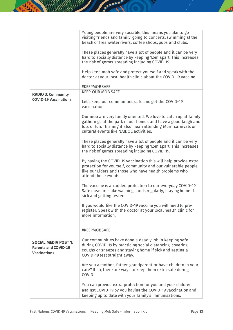|                                                                                   | Young people are very sociable, this means you like to go<br>visiting friends and family, going to concerts, swimming at the<br>beach or freshwater rivers, coffee shops, pubs and clubs.<br>These places generally have a lot of people and it can be very<br>hard to socially distance by keeping 1.5m apart. This increases<br>the risk of germs spreading including COVID-19.<br>Help keep mob safe and protect yourself and speak with the<br>doctor at your local health clinic about the COVID-19 vaccine. |
|-----------------------------------------------------------------------------------|-------------------------------------------------------------------------------------------------------------------------------------------------------------------------------------------------------------------------------------------------------------------------------------------------------------------------------------------------------------------------------------------------------------------------------------------------------------------------------------------------------------------|
|                                                                                   | #KEEPMOBSAFE                                                                                                                                                                                                                                                                                                                                                                                                                                                                                                      |
| <b>RADIO 3: Community</b><br><b>COVID-19 Vaccinations</b>                         | <b>KEEP OUR MOB SAFE!</b><br>Let's keep our communities safe and get the COVID-19<br>vaccination.                                                                                                                                                                                                                                                                                                                                                                                                                 |
|                                                                                   | Our mob are very family oriented. We love to catch up at family<br>gatherings at the park in our homes and have a good laugh and<br>lots of fun. This might also mean attending Murri carnivals or<br>cultural events like NAIDOC activities.                                                                                                                                                                                                                                                                     |
|                                                                                   | These places generally have a lot of people and it can be very<br>hard to socially distance by keeping 1.5m apart. This increases<br>the risk of germs spreading including COVID-19.                                                                                                                                                                                                                                                                                                                              |
|                                                                                   | By having the COVID-19 vaccination this will help provide extra<br>protection for yourself, community and our vulnerable people<br>like our Elders and those who have health problems who<br>attend these events.                                                                                                                                                                                                                                                                                                 |
|                                                                                   | The vaccine is an added protection to our everyday COVID-19<br>Safe measures like washing hands regularly, staying home if<br>sick and getting tested.                                                                                                                                                                                                                                                                                                                                                            |
|                                                                                   | If you would like the COVID-19 vaccine you will need to pre-<br>register. Speak with the doctor at your local health clinic for<br>more information.                                                                                                                                                                                                                                                                                                                                                              |
|                                                                                   | #KEEPMOBSAFE                                                                                                                                                                                                                                                                                                                                                                                                                                                                                                      |
| <b>SOCIAL MEDIA POST 1:</b><br><b>Parents and COVID-19</b><br><b>Vaccinations</b> | Our communities have done a deadly job in keeping safe<br>during COVID-19 by practicing social distancing, covering<br>coughs or sneezes and staying home if sick and getting a<br>COVID-19 test straight away.                                                                                                                                                                                                                                                                                                   |
|                                                                                   | Are you a mother, father, grandparent or have children in your<br>care? If so, there are ways to keep them extra safe during<br>COVID.                                                                                                                                                                                                                                                                                                                                                                            |
|                                                                                   | You can provide extra protection for you and your children<br>against COVID-19 by you having the COVID-19 vaccination and<br>keeping up to date with your family's immunisations.                                                                                                                                                                                                                                                                                                                                 |

 $\mathbf{A}$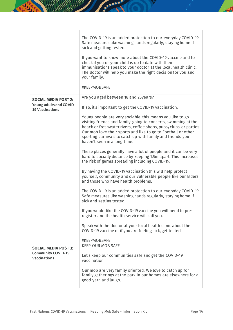|                                                                                  | The COVID-19 is an added protection to our everyday COVID-19<br>Safe measures like washing hands regularly, staying home if<br>sick and getting tested.<br>If you want to know more about the COVID-19 vaccine and to<br>check if you or your child is up to date with their<br>immunisations speak to your doctor at the local health clinic.<br>The doctor will help you make the right decision for you and<br>your family.<br>#KEEPMOBSAFE |
|----------------------------------------------------------------------------------|------------------------------------------------------------------------------------------------------------------------------------------------------------------------------------------------------------------------------------------------------------------------------------------------------------------------------------------------------------------------------------------------------------------------------------------------|
| <b>SOCIAL MEDIA POST 2:</b><br>Young adults and COVID-<br><b>19 Vaccinations</b> | Are you aged between 18 and 25years?<br>If so, it's important to get the COVID-19 vaccination.                                                                                                                                                                                                                                                                                                                                                 |
|                                                                                  | Young people are very sociable, this means you like to go<br>visiting friends and family, going to concerts, swimming at the<br>beach or freshwater rivers, coffee shops, pubs/clubs or parties.<br>Our mob love their sports and like to go to Football or other<br>sporting carnivals to catch up with family and friends you<br>haven't seen in a long time.                                                                                |
|                                                                                  | These places generally have a lot of people and it can be very<br>hard to socially distance by keeping 1.5m apart. This increases<br>the risk of germs spreading including COVID-19.                                                                                                                                                                                                                                                           |
|                                                                                  | By having the COVID-19 vaccination this will help protect<br>yourself, community and our vulnerable people like our Elders<br>and those who have health problems.                                                                                                                                                                                                                                                                              |
|                                                                                  | The COVID-19 is an added protection to our everyday COVID-19<br>Safe measures like washing hands regularly, staying home if<br>sick and getting tested.                                                                                                                                                                                                                                                                                        |
|                                                                                  | If you would like the COVID-19 vaccine you will need to pre-<br>register and the health service will call you.                                                                                                                                                                                                                                                                                                                                 |
|                                                                                  | Speak with the doctor at your local health clinic about the<br>COVID-19 vaccine or if you are feeling sick, get tested.                                                                                                                                                                                                                                                                                                                        |
|                                                                                  | #KEEPMOBSAFE                                                                                                                                                                                                                                                                                                                                                                                                                                   |
| <b>SOCIAL MEDIA POST 3:</b><br><b>Community COVID-19</b><br><b>Vaccinations</b>  | <b>KEEP OUR MOB SAFE!</b><br>Let's keep our communities safe and get the COVID-19<br>vaccination.                                                                                                                                                                                                                                                                                                                                              |
|                                                                                  | Our mob are very family oriented. We love to catch up for<br>family gatherings at the park in our homes are elsewhere for a<br>good yarn and laugh.                                                                                                                                                                                                                                                                                            |

 $\mathcal{A}$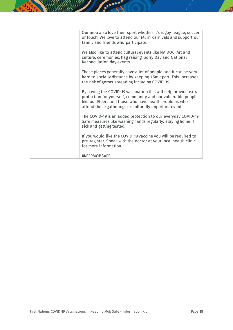| Our mob also love their sport whether it's rugby league, soccer<br>or touch! We love to attend our Murri carnivals and support our<br>family and friends who participate.                                                                            |
|------------------------------------------------------------------------------------------------------------------------------------------------------------------------------------------------------------------------------------------------------|
|                                                                                                                                                                                                                                                      |
| We also like to attend cultural events like NAIDOC, Art and<br>culture, ceremonies, flag raising, Sorry Day and National<br>Reconciliation day events.                                                                                               |
| These places generally have a lot of people and it can be very<br>hard to socially distance by keeping 1.5m apart. This increases<br>the risk of germs spreading including COVID-19.                                                                 |
| By having the COVID-19 vaccination this will help provide extra<br>protection for yourself, community and our vulnerable people<br>like our Elders and those who have health problems who<br>attend these gatherings or culturally important events. |
| The COVID-19 is an added protection to our everyday COVID-19<br>Safe measures like washing hands regularly, staying home if<br>sick and getting tested.                                                                                              |
| If you would like the COVID-19 vaccine you will be required to<br>pre-register. Speak with the doctor at your local health clinic<br>for more information.                                                                                           |
| #KEEPMOBSAFE                                                                                                                                                                                                                                         |

АÃ